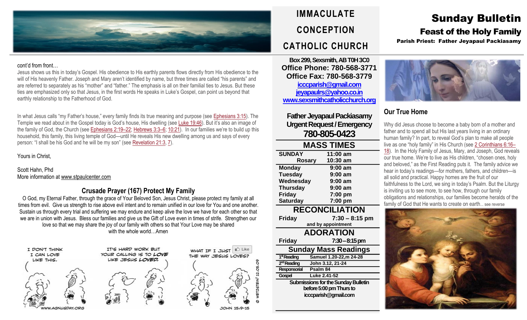

#### cont'd from front…

Jesus shows us this in today's Gospel. His obedience to His earthly parents flows directly from His obedience to the will of His heavenly Father. Joseph and Mary aren't identified by name, but three times are called "his parents" and are referred to separately as his "mother" and "father." The emphasis is all on their familial ties to Jesus. But these ties are emphasized only so that Jesus, in the first words He speaks in Luke's Gospel, can point us beyond that earthly relationship to the Fatherhood of God.

In what Jesus calls "my Father's house," every family finds its true meaning and purpose (see [Ephesians](https://biblia.com/bible/rsvce/Eph%203.15) 3:15). The Temple we read about in the Gospel today is God's house, His dwelling (see Luke [19:46](https://biblia.com/bible/rsvce/Luke%2019.46)). But it's also an image of the family of God, the Church (see [Ephesians](https://biblia.com/bible/rsvce/Eph%202.19%E2%80%9322) 2:19–22; [Hebrews](https://biblia.com/bible/rsvce/Heb%203.3%E2%80%936) 3:3–6; [10:21\)](https://biblia.com/bible/rsvce/Hebrews%2010.21). In our families we're to build up this household, this family, this living temple of God—until He reveals His new dwelling among us and says of every person: "I shall be his God and he will be my son" (see [Revelation](https://biblia.com/bible/rsvce/Rev%2021.3) 21:3, [7\)](https://biblia.com/bible/rsvce/Revelation%2021.7).

### Yours in Christ,

Scott Hahn, Phd More information at [www.stpaulcenter.com](http://www.stpaulcenter.com/)

# **Crusade Prayer (167) Protect My Family**

O God, my Eternal Father, through the grace of Your Beloved Son, Jesus Christ, please protect my family at all times from evil. Give us strength to rise above evil intent and to remain unified in our love for You and one another. Sustain us through every trial and suffering we may endure and keep alive the love we have for each other so that we are in union with Jesus. Bless our families and give us the Gift of Love even in times of strife. Strengthen our love so that we may share the joy of our family with others so that Your Love may be shared with the whole world…Amen



IT'S HARD WORK BUT YOUR CALLING IS TO LOVE LIKE JESUS LOVED.



**IMMACULATE CONCEPTION CATHOLIC CHURCH**

**Box 299, Sexsmith, AB T0H 3C0 Office Phone: 780-568-3771 Office Fax: 780-568-3779 [icccparish@gmail.com](mailto:icccparish@gmail.com) [jeyapaulrs@yahoo.co.in](mailto:jeyapaulrs@yahoo.co.in) [www.sexsmithcatholicchurch.org](http://www.sexsmithcatholicchurch.org/)**

**Father Jeyapaul Packiasamy Urgent Request/Emergency 780-805-0423**

| <b>MASS TIMES</b>     |                    |  |  |  |  |
|-----------------------|--------------------|--|--|--|--|
| <b>SUNDAY</b>         | 11:00 am           |  |  |  |  |
| <b>Rosary</b>         | 10:30 am           |  |  |  |  |
| <b>Monday</b>         | $9:00$ am          |  |  |  |  |
| <b>Tuesday</b>        | $9:00$ am          |  |  |  |  |
| Wednesday             | $9:00$ am          |  |  |  |  |
| <b>Thursday</b>       | $9:00$ am          |  |  |  |  |
| <b>Friday</b>         | 7:00 pm            |  |  |  |  |
| <b>Saturday</b>       | 7:00 pm            |  |  |  |  |
| <b>RECONCILIATION</b> |                    |  |  |  |  |
| <b>Friday</b>         | $7:30 - 8:15$ pm   |  |  |  |  |
|                       | and by appointment |  |  |  |  |
| <b>ADORATION</b>      |                    |  |  |  |  |

**Friday 7:30–8:15 pm**

1<sup>st</sup> Reading

2<sup>nd</sup> Reading

**Responsorial Psalm 84 Gospel Luke 2.41-52**

**Sunday Mass Readings**

**ndReading John 3.12, 21-24**

**Submissions for the Sunday Bulletin before 5:00 pm Thursto icccparish@gmail.com**

**stReading Samuel 1.20-22,m 24-28**

Sunday Bulletin Feast of the Holy Family

Parish Priest: Father Jeyapaul Packiasamy



# **Our True Home**

Why did Jesus choose to become a baby born of a mother and father and to spend all but His last years living in an ordinary human family? In part, to reveal God's plan to make all people live as one "holy family" in His Church (see 2 [Corinthians](https://biblia.com/bible/rsvce/2%20Cor%206.16%E2%80%9318) 6:16– [18\)](https://biblia.com/bible/rsvce/2%20Cor%206.16%E2%80%9318). In the Holy Family of Jesus, Mary, and Joseph, God reveals our true home. We're to live as His children, "chosen ones, holy and beloved," as the First Reading puts it. The family advice we hear in today's readings—for mothers, fathers, and children—is all solid and practical. Happy homes are the fruit of our faithfulness to the Lord, we sing in today's Psalm. But the Liturgy is inviting us to see more, to see how, through our family obligations and relationships, our families become heralds of the family of God that He wants to create on earth... see reverse



WHAT IF I JUST

THE WAY JESUS LOVES?

JOHN 15:9-15

**B** Like